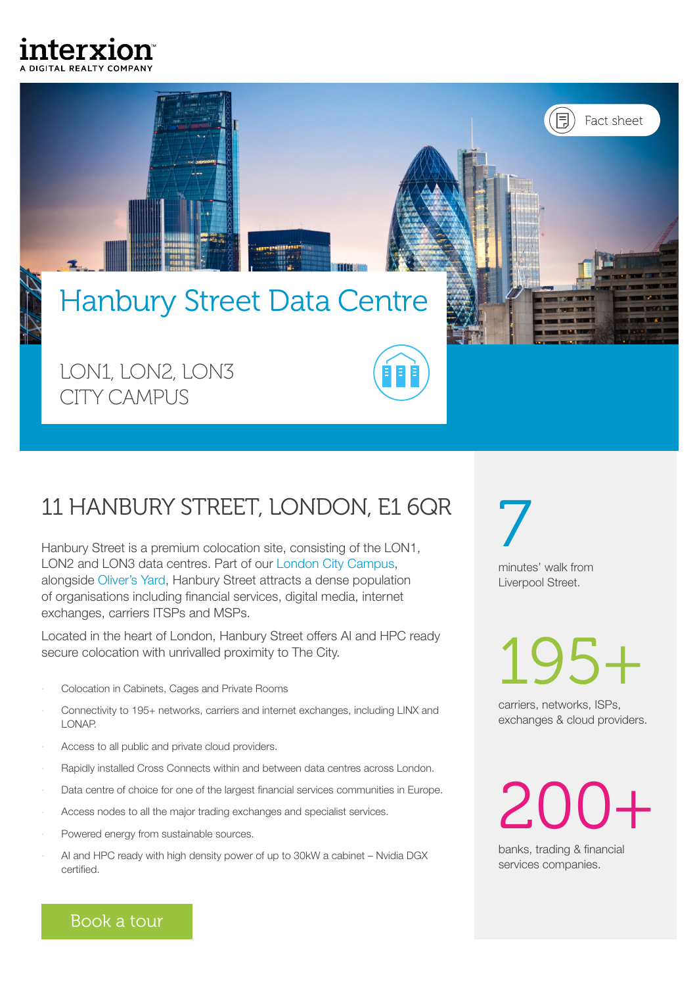



# 11 HANBURY STREET, LONDON, E1 6QR 7

Hanbury Street is a premium colocation site, consisting of the LON1, LON2 and LON3 data centres. Part of our [London City Campus](https://www.interxion.com/uk/locations/europe/london/city-of-london-campus), alongside [Oliver's Yard](https://www.interxion.com/uk/locations/europe/london/1-olivers-yard-55-71-city-road-london), Hanbury Street attracts a dense population of organisations including financial services, digital media, internet exchanges, carriers ITSPs and MSPs.

Located in the heart of London, Hanbury Street offers AI and HPC ready secure colocation with unrivalled proximity to The City.

- Colocation in Cabinets, Cages and Private Rooms
- Connectivity to 195+ networks, carriers and internet exchanges, including LINX and LONAP.
- Access to all public and private cloud providers.
- Rapidly installed Cross Connects within and between data centres across London.
- Data centre of choice for one of the largest financial services communities in Europe.
- Access nodes to all the major trading exchanges and specialist services.
- Powered energy from sustainable sources.
- AI and HPC ready with high density power of up to 30kW a cabinet Nvidia DGX certified.

minutes' walk from Liverpool Street.

195+

carriers, networks, ISPs, exchanges & cloud providers.

200+

banks, trading & financial services companies.

[Book a tour](https://www.interxion.com/locations/london/tour)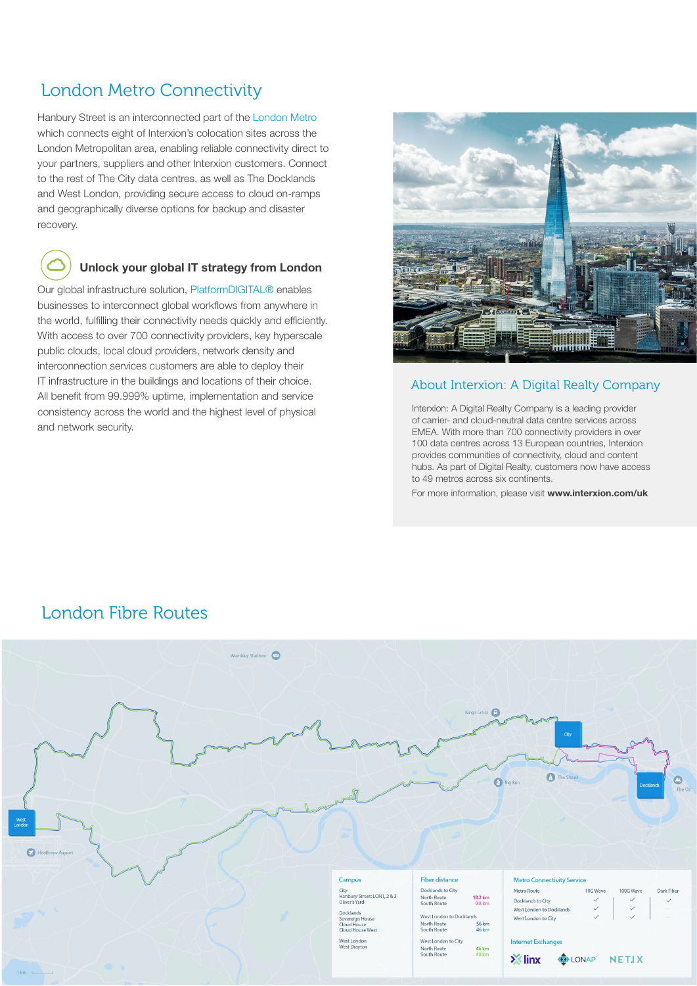# London Metro Connectivity

Hanbury Street is an interconnected part of the [London Metro](https://www.interxion.com/uk/locations/europe/london)  which connects eight of Interxion's colocation sites across the London Metropolitan area, enabling reliable connectivity direct to your partners, suppliers and other Interxion customers. Connect to the rest of The City data centres, as well as The Docklands and West London, providing secure access to cloud on-ramps and geographically diverse options for backup and disaster recovery.

### Unlock your global IT strategy from London

Our global infrastructure solution, [PlatformDIGITAL®](https://www.interxion.com/uk/platform-digital) enables businesses to interconnect global workflows from anywhere in the world, fulfilling their connectivity needs quickly and efficiently. With access to over 700 connectivity providers, key hyperscale public clouds, local cloud providers, network density and interconnection services customers are able to deploy their IT infrastructure in the buildings and locations of their choice. All benefit from 99.999% uptime, implementation and service consistency across the world and the highest level of physical and network security.



### About Interxion: A Digital Realty Company

Interxion: A Digital Realty Company is a leading provider of carrier- and cloud-neutral data centre services across EMEA. With more than 700 connectivity providers in over 100 data centres across 13 European countries, Interxion provides communities of connectivity, cloud and content hubs. As part of Digital Realty, customers now have access to 49 metros across six continents.

For more information, please visit [www.interxion.com/uk](https://www.interxion.com/uk)

## London Fibre Routes